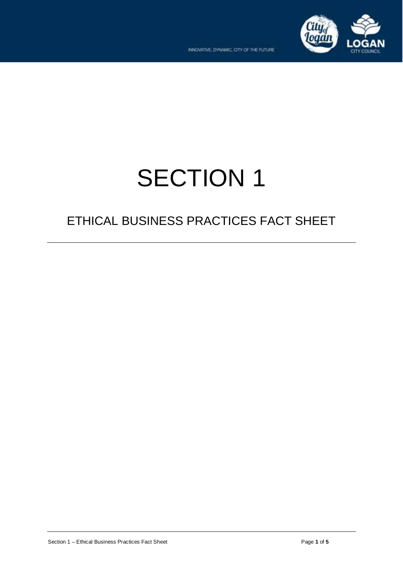

# SECTION 1

# ETHICAL BUSINESS PRACTICES FACT SHEET

Section 1 – Ethical Business Practices Fact Sheet **Page 1 of 5 Page 1 of 5**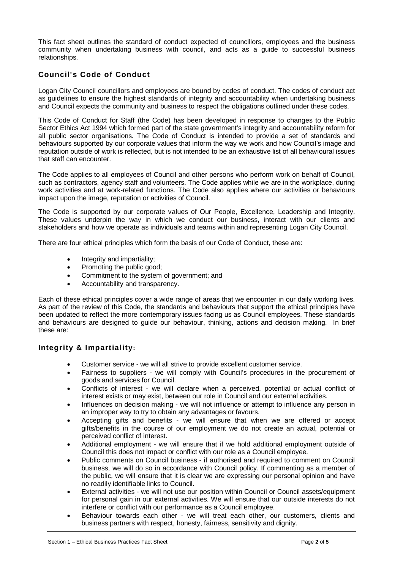This fact sheet outlines the standard of conduct expected of councillors, employees and the business community when undertaking business with council, and acts as a guide to successful business relationships.

# **Council's Code of Conduct**

 Logan City Council councillors and employees are bound by codes of conduct. The codes of conduct act as guidelines to ensure the highest standards of integrity and accountability when undertaking business and Council expects the community and business to respect the obligations outlined under these codes.

 This Code of Conduct for Staff (the Code) has been developed in response to changes to the Public Sector Ethics Act 1994 which formed part of the state government's integrity and accountability reform for behaviours supported by our corporate values that inform the way we work and how Council's image and all public sector organisations. The Code of Conduct is intended to provide a set of standards and reputation outside of work is reflected, but is not intended to be an exhaustive list of all behavioural issues that staff can encounter.

 The Code applies to all employees of Council and other persons who perform work on behalf of Council, such as contractors, agency staff and volunteers. The Code applies while we are in the workplace, during work activities and at work-related functions. The Code also applies where our activities or behaviours impact upon the image, reputation or activities of Council.

 The Code is supported by our corporate values of Our People, Excellence, Leadership and Integrity. These values underpin the way in which we conduct our business, interact with our clients and stakeholders and how we operate as individuals and teams within and representing Logan City Council.

There are four ethical principles which form the basis of our Code of Conduct, these are:

- Integrity and impartiality;
- Promoting the public good;
- Commitment to the system of government; and
- Accountability and transparency.

 Each of these ethical principles cover a wide range of areas that we encounter in our daily working lives. As part of the review of this Code, the standards and behaviours that support the ethical principles have been updated to reflect the more contemporary issues facing us as Council employees. These standards and behaviours are designed to guide our behaviour, thinking, actions and decision making. In brief these are:

# **Integrity & Impartiality:**

- Customer service we will all strive to provide excellent customer service.
- Fairness to suppliers we will comply with Council's procedures in the procurement of goods and services for Council.
- • Conflicts of interest we will declare when a perceived, potential or actual conflict of interest exists or may exist, between our role in Council and our external activities.
- • Influences on decision making we will not influence or attempt to influence any person in an improper way to try to obtain any advantages or favours.
- perceived conflict of interest. • Accepting gifts and benefits - we will ensure that when we are offered or accept gifts/benefits in the course of our employment we do not create an actual, potential or
- Additional employment we will ensure that if we hold additional employment outside of Council this does not impact or conflict with our role as a Council employee.
- • Public comments on Council business if authorised and required to comment on Council the public, we will ensure that it is clear we are expressing our personal opinion and have business, we will do so in accordance with Council policy. If commenting as a member of no readily identifiable links to Council.
- for personal gain in our external activities. We will ensure that our outside interests do not • External activities - we will not use our position within Council or Council assets/equipment interfere or conflict with our performance as a Council employee.
- • Behaviour towards each other we will treat each other, our customers, clients and business partners with respect, honesty, fairness, sensitivity and dignity.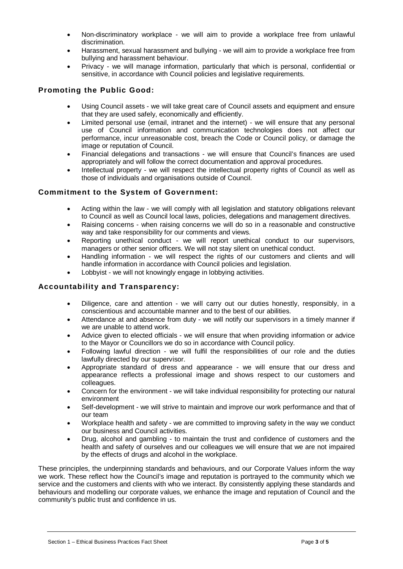- Non-discriminatory workplace we will aim to provide a workplace free from unlawful discrimination.
- bullying and harassment behaviour. • Harassment, sexual harassment and bullying - we will aim to provide a workplace free from
- • Privacy we will manage information, particularly that which is personal, confidential or sensitive, in accordance with Council policies and legislative requirements.

# **Promoting the Public Good:**

- Using Council assets we will take great care of Council assets and equipment and ensure that they are used safely, economically and efficiently.
- use of Council information and communication technologies does not affect our • Limited personal use (email, intranet and the internet) - we will ensure that any personal performance, incur unreasonable cost, breach the Code or Council policy, or damage the image or reputation of Council.
- Financial delegations and transactions we will ensure that Council's finances are used appropriately and will follow the correct documentation and approval procedures.
- Intellectual property we will respect the intellectual property rights of Council as well as those of individuals and organisations outside of Council.

#### **Commitment to the System of Government:**

- Acting within the law we will comply with all legislation and statutory obligations relevant to Council as well as Council local laws, policies, delegations and management directives.
- • Raising concerns when raising concerns we will do so in a reasonable and constructive way and take responsibility for our comments and views.
- • Reporting unethical conduct we will report unethical conduct to our supervisors, managers or other senior officers. We will not stay silent on unethical conduct.
- Handling information we will respect the rights of our customers and clients and will handle information in accordance with Council policies and legislation.
- Lobbyist we will not knowingly engage in lobbying activities.

#### **Accountability and Transparency:**

- Diligence, care and attention we will carry out our duties honestly, responsibly, in a conscientious and accountable manner and to the best of our abilities.
- • Attendance at and absence from duty we will notify our supervisors in a timely manner if we are unable to attend work.
- Advice given to elected officials we will ensure that when providing information or advice to the Mayor or Councillors we do so in accordance with Council policy.
- • Following lawful direction we will fulfil the responsibilities of our role and the duties lawfully directed by our supervisor.
- Appropriate standard of dress and appearance we will ensure that our dress and appearance reflects a professional image and shows respect to our customers and colleagues.
- Concern for the environment we will take individual responsibility for protecting our natural environment
- Self-development we will strive to maintain and improve our work performance and that of our team
- • Workplace health and safety we are committed to improving safety in the way we conduct our business and Council activities.
- health and safety of ourselves and our colleagues we will ensure that we are not impaired • Drug, alcohol and gambling - to maintain the trust and confidence of customers and the by the effects of drugs and alcohol in the workplace.

 These principles, the underpinning standards and behaviours, and our Corporate Values inform the way behaviours and modelling our corporate values, we enhance the image and reputation of Council and the we work. These reflect how the Council's image and reputation is portrayed to the community which we service and the customers and clients with who we interact. By consistently applying these standards and community's public trust and confidence in us.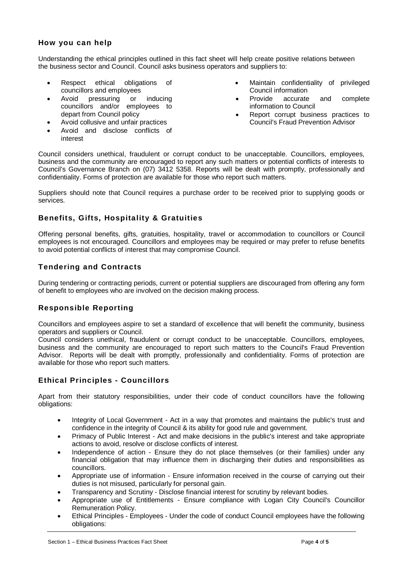# **How you can help**

 Understanding the ethical principles outlined in this fact sheet will help create positive relations between the business sector and Council. Council asks business operators and suppliers to:

- councillors and employees Council information
- councillors and/or employees to information to Council
- 
- Avoid and disclose conflicts of interest
- Respect ethical obligations of **•** Maintain confidentiality of privileged
- Avoid pressuring or inducing Provide accurate and complete
	- depart from Council policy extending the section of the Report corrupt business practices to • Avoid collusive and unfair practices Council's Fraud Prevention Advisor

 business and the community are encouraged to report any such matters or potential conflicts of interests to Council considers unethical, fraudulent or corrupt conduct to be unacceptable. Councillors, employees, Council's Governance Branch on (07) 3412 5358. Reports will be dealt with promptly, professionally and confidentiality. Forms of protection are available for those who report such matters.

 Suppliers should note that Council requires a purchase order to be received prior to supplying goods or services.

# **Benefits, Gifts, Hospitality & Gratuities**

 employees is not encouraged. Councillors and employees may be required or may prefer to refuse benefits to avoid potential conflicts of interest that may compromise Council. Offering personal benefits, gifts, gratuities, hospitality, travel or accommodation to councillors or Council

# **Tendering and Contracts**

During tendering or contracting periods, current or potential suppliers are discouraged from offering any form of benefit to employees who are involved on the decision making process.

# **Responsible Reporting**

Councillors and employees aspire to set a standard of excellence that will benefit the community, business operators and suppliers or Council.

Council considers unethical, fraudulent or corrupt conduct to be unacceptable. Councillors, employees, business and the community are encouraged to report such matters to the Council's Fraud Prevention Advisor. Reports will be dealt with promptly, professionally and confidentiality. Forms of protection are available for those who report such matters.

#### **Ethical Principles - Councillors**

Apart from their statutory responsibilities, under their code of conduct councillors have the following obligations:

- confidence in the integrity of Council & its ability for good rule and government. • Integrity of Local Government - Act in a way that promotes and maintains the public's trust and
- • Primacy of Public Interest Act and make decisions in the public's interest and take appropriate actions to avoid, resolve or disclose conflicts of interest.
- financial obligation that may influence them in discharging their duties and responsibilities as • Independence of action - Ensure they do not place themselves (or their families) under any councillors.
- Appropriate use of information Ensure information received in the course of carrying out their duties is not misused, particularly for personal gain.
- Transparency and Scrutiny Disclose financial interest for scrutiny by relevant bodies.
- Appropriate use of Entitlements Ensure compliance with Logan City Council's Councillor Remuneration Policy.
- Ethical Principles Employees Under the code of conduct Council employees have the following obligations: